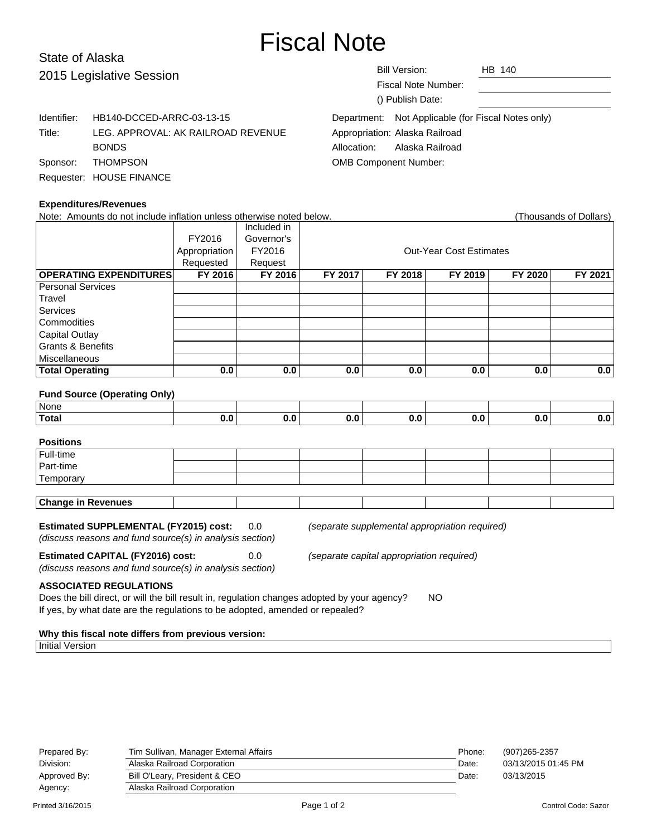# Fiscal Note

# State of Alaska 2015 Legislative Ses

| 2015 Legislative Session |                                    | <b>Bill Version:</b><br><b>Fiscal Note Number:</b><br>() Publish Date: | HB 140 |  |  |  |
|--------------------------|------------------------------------|------------------------------------------------------------------------|--------|--|--|--|
| Identifier:              | HB140-DCCED-ARRC-03-13-15          | Department: Not Applicable (for Fiscal Notes only)                     |        |  |  |  |
| Title:                   | LEG. APPROVAL: AK RAILROAD REVENUE | Appropriation: Alaska Railroad                                         |        |  |  |  |
|                          | <b>BONDS</b>                       | Alaska Railroad<br>Allocation:                                         |        |  |  |  |
| Sponsor:                 | <b>THOMPSON</b>                    | <b>OMB Component Number:</b>                                           |        |  |  |  |
|                          | Requester: HOUSE FINANCE           |                                                                        |        |  |  |  |

### **Expenditures/Revenues**

| Note: Amounts do not include inflation unless otherwise noted below.                                                                                                                                                       |               |             |         |                                |         |         | (Thousands of Dollars) |  |  |
|----------------------------------------------------------------------------------------------------------------------------------------------------------------------------------------------------------------------------|---------------|-------------|---------|--------------------------------|---------|---------|------------------------|--|--|
|                                                                                                                                                                                                                            |               | Included in |         |                                |         |         |                        |  |  |
|                                                                                                                                                                                                                            | FY2016        | Governor's  |         |                                |         |         |                        |  |  |
|                                                                                                                                                                                                                            | Appropriation | FY2016      |         | <b>Out-Year Cost Estimates</b> |         |         |                        |  |  |
|                                                                                                                                                                                                                            | Requested     | Request     |         |                                |         |         |                        |  |  |
| <b>OPERATING EXPENDITURES</b>                                                                                                                                                                                              | FY 2016       | FY 2016     | FY 2017 | FY 2018                        | FY 2019 | FY 2020 | FY 2021                |  |  |
| <b>Personal Services</b>                                                                                                                                                                                                   |               |             |         |                                |         |         |                        |  |  |
| Travel                                                                                                                                                                                                                     |               |             |         |                                |         |         |                        |  |  |
| <b>Services</b>                                                                                                                                                                                                            |               |             |         |                                |         |         |                        |  |  |
| Commodities                                                                                                                                                                                                                |               |             |         |                                |         |         |                        |  |  |
| <b>Capital Outlay</b>                                                                                                                                                                                                      |               |             |         |                                |         |         |                        |  |  |
| <b>Grants &amp; Benefits</b>                                                                                                                                                                                               |               |             |         |                                |         |         |                        |  |  |
| Miscellaneous                                                                                                                                                                                                              |               |             |         |                                |         |         |                        |  |  |
| <b>Total Operating</b>                                                                                                                                                                                                     | 0.0           | 0.0         | 0.0     | 0.0                            | 0.0     | 0.0     | 0.0                    |  |  |
|                                                                                                                                                                                                                            |               |             |         |                                |         |         |                        |  |  |
| <b>Fund Source (Operating Only)</b>                                                                                                                                                                                        |               |             |         |                                |         |         |                        |  |  |
| None                                                                                                                                                                                                                       |               |             |         |                                |         |         |                        |  |  |
| <b>Total</b>                                                                                                                                                                                                               | 0.0           | 0.0         | 0.0     | 0.0                            | 0.0     | 0.0     | 0.0                    |  |  |
|                                                                                                                                                                                                                            |               |             |         |                                |         |         |                        |  |  |
| <b>Positions</b><br>Full-time                                                                                                                                                                                              |               |             |         |                                |         |         |                        |  |  |
| Part-time                                                                                                                                                                                                                  |               |             |         |                                |         |         |                        |  |  |
|                                                                                                                                                                                                                            |               |             |         |                                |         |         |                        |  |  |
| Temporary                                                                                                                                                                                                                  |               |             |         |                                |         |         |                        |  |  |
| <b>Change in Revenues</b>                                                                                                                                                                                                  |               |             |         |                                |         |         |                        |  |  |
|                                                                                                                                                                                                                            |               |             |         |                                |         |         |                        |  |  |
| <b>Estimated SUPPLEMENTAL (FY2015) cost:</b><br>0.0<br>(separate supplemental appropriation required)<br>(discuss reasons and fund source(s) in analysis section)                                                          |               |             |         |                                |         |         |                        |  |  |
| <b>Estimated CAPITAL (FY2016) cost:</b><br>0.0<br>(separate capital appropriation required)<br>(discuss reasons and fund source(s) in analysis section)                                                                    |               |             |         |                                |         |         |                        |  |  |
| <b>ASSOCIATED REGULATIONS</b><br>Does the bill direct, or will the bill result in, regulation changes adopted by your agency?<br><b>NO</b><br>If yes, by what date are the regulations to be adopted, amended or repealed? |               |             |         |                                |         |         |                        |  |  |

## **Why this fiscal note differs from previous version:**

Initial Version

| Prepared By: | Tim Sullivan, Manager External Affairs | Phone: | (907) 265-2357      |
|--------------|----------------------------------------|--------|---------------------|
| Division:    | Alaska Railroad Corporation            | Date:  | 03/13/2015 01:45 PM |
| Approved By: | Bill O'Leary, President & CEO          | Date:  | 03/13/2015          |
| Agency:      | Alaska Railroad Corporation            |        |                     |
|              |                                        |        |                     |